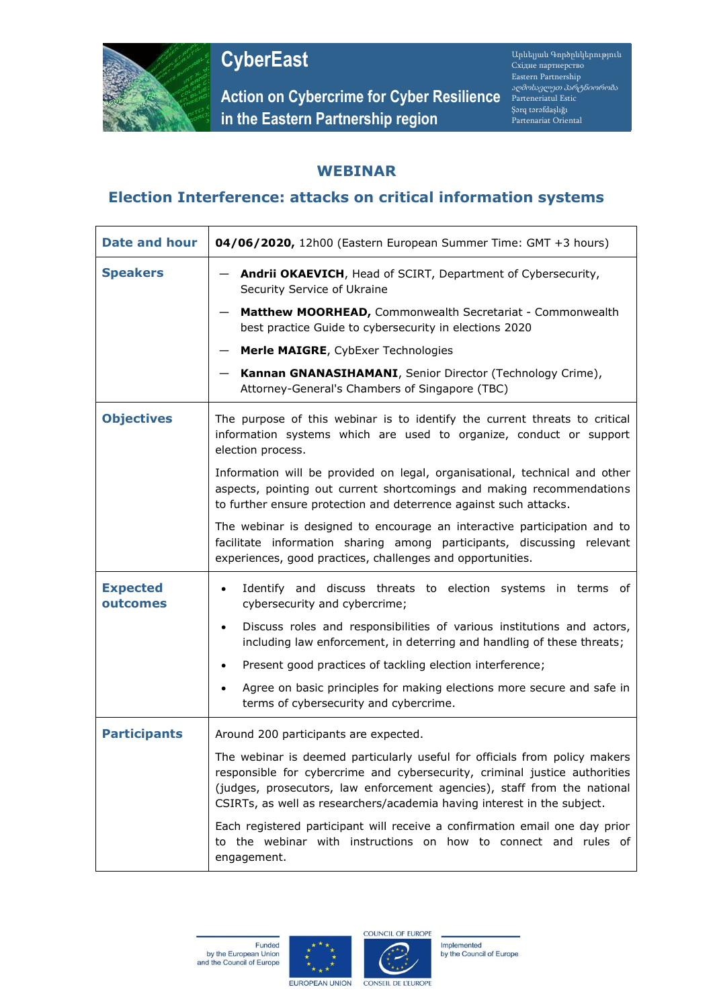

**CyberEast**

**Action on Cybercrime for Cyber Resilience** აღმოსავლეთ პარტნიორობა **in the Eastern Partnership region**

Արևելյան Գործընկերություն Східне партнерство Eastern Partnership Parteneriatul Estic Şərq tərəfdaşlığı Partenariat Oriental

## **WEBINAR**

## **Election Interference: attacks on critical information systems**

| <b>Date and hour</b>        | 04/06/2020, 12h00 (Eastern European Summer Time: GMT +3 hours)                                                                                                                                                                                                                                                  |
|-----------------------------|-----------------------------------------------------------------------------------------------------------------------------------------------------------------------------------------------------------------------------------------------------------------------------------------------------------------|
| <b>Speakers</b>             | Andrii OKAEVICH, Head of SCIRT, Department of Cybersecurity,<br>Security Service of Ukraine                                                                                                                                                                                                                     |
|                             | Matthew MOORHEAD, Commonwealth Secretariat - Commonwealth<br>best practice Guide to cybersecurity in elections 2020                                                                                                                                                                                             |
|                             | Merle MAIGRE, CybExer Technologies                                                                                                                                                                                                                                                                              |
|                             | Kannan GNANASIHAMANI, Senior Director (Technology Crime),<br>Attorney-General's Chambers of Singapore (TBC)                                                                                                                                                                                                     |
| <b>Objectives</b>           | The purpose of this webinar is to identify the current threats to critical<br>information systems which are used to organize, conduct or support<br>election process.                                                                                                                                           |
|                             | Information will be provided on legal, organisational, technical and other<br>aspects, pointing out current shortcomings and making recommendations<br>to further ensure protection and deterrence against such attacks.                                                                                        |
|                             | The webinar is designed to encourage an interactive participation and to<br>facilitate information sharing among participants, discussing relevant<br>experiences, good practices, challenges and opportunities.                                                                                                |
| <b>Expected</b><br>outcomes | Identify and discuss threats to election systems in terms of<br>cybersecurity and cybercrime;                                                                                                                                                                                                                   |
|                             | Discuss roles and responsibilities of various institutions and actors,<br>$\bullet$<br>including law enforcement, in deterring and handling of these threats;                                                                                                                                                   |
|                             | Present good practices of tackling election interference;                                                                                                                                                                                                                                                       |
|                             | Agree on basic principles for making elections more secure and safe in<br>terms of cybersecurity and cybercrime.                                                                                                                                                                                                |
| <b>Participants</b>         | Around 200 participants are expected.                                                                                                                                                                                                                                                                           |
|                             | The webinar is deemed particularly useful for officials from policy makers<br>responsible for cybercrime and cybersecurity, criminal justice authorities<br>(judges, prosecutors, law enforcement agencies), staff from the national<br>CSIRTs, as well as researchers/academia having interest in the subject. |
|                             | Each registered participant will receive a confirmation email one day prior<br>to the webinar with instructions on how to connect and rules of<br>engagement.                                                                                                                                                   |